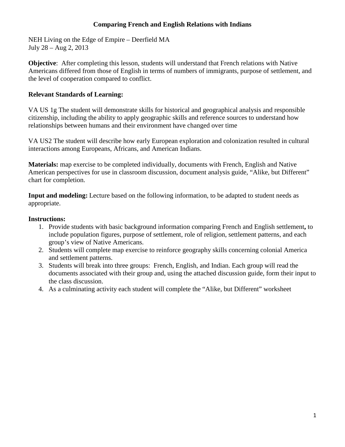### **Comparing French and English Relations with Indians**

NEH Living on the Edge of Empire – Deerfield MA July 28 – Aug 2, 2013

**Objective**: After completing this lesson, students will understand that French relations with Native Americans differed from those of English in terms of numbers of immigrants, purpose of settlement, and the level of cooperation compared to conflict.

#### **Relevant Standards of Learning:**

VA US 1g The student will demonstrate skills for historical and geographical analysis and responsible citizenship, including the ability to apply geographic skills and reference sources to understand how relationships between humans and their environment have changed over time

VA US2 The student will describe how early European exploration and colonization resulted in cultural interactions among Europeans, Africans, and American Indians.

**Materials:** map exercise to be completed individually, documents with French, English and Native American perspectives for use in classroom discussion, document analysis guide, "Alike, but Different" chart for completion.

**Input and modeling:** Lecture based on the following information, to be adapted to student needs as appropriate.

### **Instructions:**

- 1. Provide students with basic background information comparing French and English settlement**,** to include population figures, purpose of settlement, role of religion, settlement patterns, and each group's view of Native Americans.
- 2. Students will complete map exercise to reinforce geography skills concerning colonial America and settlement patterns.
- 3. Students will break into three groups: French, English, and Indian. Each group will read the documents associated with their group and, using the attached discussion guide, form their input to the class discussion.
- 4. As a culminating activity each student will complete the "Alike, but Different" worksheet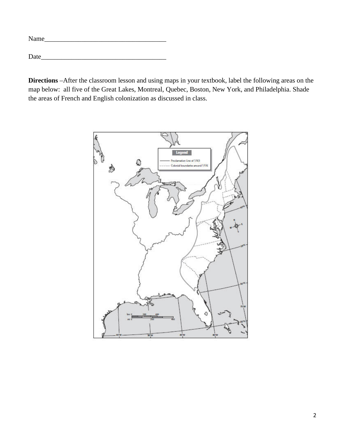| Name |  |  |  |
|------|--|--|--|
|      |  |  |  |
| Date |  |  |  |

**Directions** –After the classroom lesson and using maps in your textbook, label the following areas on the map below: all five of the Great Lakes, Montreal, Quebec, Boston, New York, and Philadelphia. Shade the areas of French and English colonization as discussed in class.

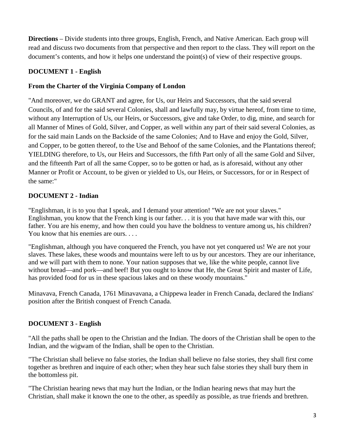**Directions** – Divide students into three groups, English, French, and Native American. Each group will read and discuss two documents from that perspective and then report to the class. They will report on the document's contents, and how it helps one understand the point(s) of view of their respective groups.

# **DOCUMENT 1 - English**

## **From the Charter of the Virginia Company of London**

"And moreover, we do GRANT and agree, for Us, our Heirs and Successors, that the said several Councils, of and for the said several Colonies, shall and lawfully may, by virtue hereof, from time to time, without any Interruption of Us, our Heirs, or Successors, give and take Order, to dig, mine, and search for all Manner of Mines of Gold, Silver, and Copper, as well within any part of their said several Colonies, as for the said main Lands on the Backside of the same Colonies; And to Have and enjoy the Gold, Silver, and Copper, to be gotten thereof, to the Use and Behoof of the same Colonies, and the Plantations thereof; YIELDING therefore, to Us, our Heirs and Successors, the fifth Part only of all the same Gold and Silver, and the fifteenth Part of all the same Copper, so to be gotten or had, as is aforesaid, without any other Manner or Profit or Account, to be given or yielded to Us, our Heirs, or Successors, for or in Respect of the same:"

## **DOCUMENT 2 - Indian**

"Englishman, it is to you that I speak, and I demand your attention! "We are not your slaves." Englishman, you know that the French king is our father. . . it is you that have made war with this, our father. You are his enemy, and how then could you have the boldness to venture among us, his children? You know that his enemies are ours. . . .

"Englishman, although you have conquered the French, you have not yet conquered us! We are not your slaves. These lakes, these woods and mountains were left to us by our ancestors. They are our inheritance, and we will part with them to none. Your nation supposes that we, like the white people, cannot live without bread—and pork—and beef! But you ought to know that He, the Great Spirit and master of Life, has provided food for us in these spacious lakes and on these woody mountains."

Minavava, French Canada, 1761 Minavavana, a Chippewa leader in French Canada, declared the Indians' position after the British conquest of French Canada.

## **DOCUMENT 3 - English**

"All the paths shall be open to the Christian and the Indian. The doors of the Christian shall be open to the Indian, and the wigwam of the Indian, shall be open to the Christian.

"The Christian shall believe no false stories, the Indian shall believe no false stories, they shall first come together as brethren and inquire of each other; when they hear such false stories they shall bury them in the bottomless pit.

"The Christian hearing news that may hurt the Indian, or the Indian hearing news that may hurt the Christian, shall make it known the one to the other, as speedily as possible, as true friends and brethren.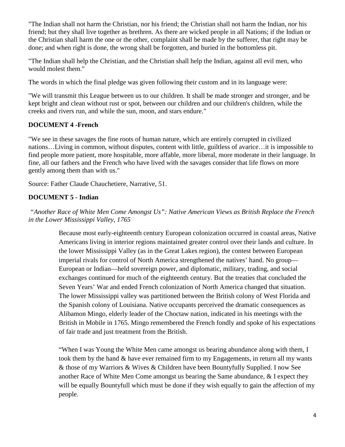"The Indian shall not harm the Christian, nor his friend; the Christian shall not harm the Indian, nor his friend; but they shall live together as brethren. As there are wicked people in all Nations; if the Indian or the Christian shall harm the one or the other, complaint shall be made by the sufferer, that right may be done; and when right is done, the wrong shall be forgotten, and buried in the bottomless pit.

"The Indian shall help the Christian, and the Christian shall help the Indian, against all evil men, who would molest them."

The words in which the final pledge was given following their custom and in its language were:

"We will transmit this League between us to our children. It shall be made stronger and stronger, and be kept bright and clean without rust or spot, between our children and our children's children, while the creeks and rivers run, and while the sun, moon, and stars endure."

# **DOCUMENT 4 -French**

"We see in these savages the fine roots of human nature, which are entirely corrupted in civilized nations…Living in common, without disputes, content with little, guiltless of avarice…it is impossible to find people more patient, more hospitable, more affable, more liberal, more moderate in their language. In fine, all our fathers and the French who have lived with the savages consider that life flows on more gently among them than with us."

Source: Father Claude Chauchetiere, Narrative, 51.

# **DOCUMENT 5 - Indian**

*"Another Race of White Men Come Amongst Us": Native American Views as British Replace the French in the Lower Mississippi Valley, 1765*

> Because most early-eighteenth century European colonization occurred in coastal areas, Native Americans living in interior regions maintained greater control over their lands and culture. In the lower Mississippi Valley (as in the Great Lakes region), the contest between European imperial rivals for control of North America strengthened the natives' hand. No group— European or Indian—held sovereign power, and diplomatic, military, trading, and social exchanges continued for much of the eighteenth century. But the treaties that concluded the Seven Years' War and ended French colonization of North America changed that situation. The lower Mississippi valley was partitioned between the British colony of West Florida and the Spanish colony of Louisiana. Native occupants perceived the dramatic consequences as Alibamon Mingo, elderly leader of the Choctaw nation, indicated in his meetings with the British in Mobile in 1765. Mingo remembered the French fondly and spoke of his expectations of fair trade and just treatment from the British.

> "When I was Young the White Men came amongst us bearing abundance along with them, I took them by the hand & have ever remained firm to my Engagements, in return all my wants & those of my Warriors & Wives & Children have been Bountyfully Supplied. I now See another Race of White Men Come amongst us bearing the Same abundance, & I expect they will be equally Bountyfull which must be done if they wish equally to gain the affection of my people.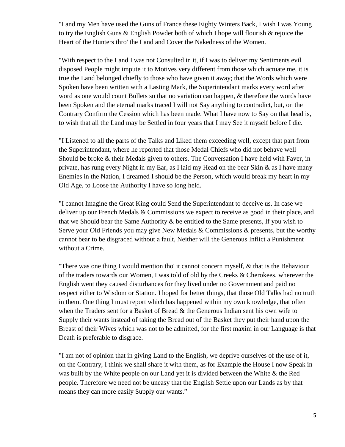"I and my Men have used the Guns of France these Eighty Winters Back, I wish I was Young to try the English Guns & English Powder both of which I hope will flourish  $\&$  rejoice the Heart of the Hunters thro' the Land and Cover the Nakedness of the Women.

"With respect to the Land I was not Consulted in it, if I was to deliver my Sentiments evil disposed People might impute it to Motives very different from those which actuate me, it is true the Land belonged chiefly to those who have given it away; that the Words which were Spoken have been written with a Lasting Mark, the Superintendant marks every word after word as one would count Bullets so that no variation can happen, & therefore the words have been Spoken and the eternal marks traced I will not Say anything to contradict, but, on the Contrary Confirm the Cession which has been made. What I have now to Say on that head is, to wish that all the Land may be Settled in four years that I may See it myself before I die.

"I Listened to all the parts of the Talks and Liked them exceeding well, except that part from the Superintendant, where he reported that those Medal Chiefs who did not behave well Should be broke & their Medals given to others. The Conversation I have held with Faver, in private, has rung every Night in my Ear, as I laid my Head on the bear Skin  $\&$  as I have many Enemies in the Nation, I dreamed I should be the Person, which would break my heart in my Old Age, to Loose the Authority I have so long held.

"I cannot Imagine the Great King could Send the Superintendant to deceive us. In case we deliver up our French Medals & Commissions we expect to receive as good in their place, and that we Should bear the Same Authority & be entitled to the Same presents, If you wish to Serve your Old Friends you may give New Medals  $&$  Commissions  $&$  presents, but the worthy cannot bear to be disgraced without a fault, Neither will the Generous Inflict a Punishment without a Crime.

"There was one thing I would mention tho' it cannot concern myself, & that is the Behaviour of the traders towards our Women, I was told of old by the Creeks & Cherokees, wherever the English went they caused disturbances for they lived under no Government and paid no respect either to Wisdom or Station. I hoped for better things, that those Old Talks had no truth in them. One thing I must report which has happened within my own knowledge, that often when the Traders sent for a Basket of Bread & the Generous Indian sent his own wife to Supply their wants instead of taking the Bread out of the Basket they put their hand upon the Breast of their Wives which was not to be admitted, for the first maxim in our Language is that Death is preferable to disgrace.

"I am not of opinion that in giving Land to the English, we deprive ourselves of the use of it, on the Contrary, I think we shall share it with them, as for Example the House I now Speak in was built by the White people on our Land yet it is divided between the White & the Red people. Therefore we need not be uneasy that the English Settle upon our Lands as by that means they can more easily Supply our wants."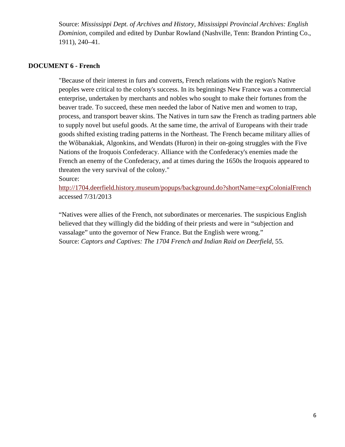Source: *Mississippi Dept. of Archives and History, Mississippi Provincial Archives: English Dominion*, compiled and edited by Dunbar Rowland (Nashville, Tenn: Brandon Printing Co., 1911), 240–41.

#### **DOCUMENT 6 - French**

"Because of their interest in furs and converts, French relations with the region's Native peoples were critical to the colony's success. In its beginnings New France was a commercial enterprise, undertaken by merchants and nobles who sought to make their fortunes from the beaver trade. To succeed, these men needed the labor of Native men and women to trap, process, and transport beaver skins. The Natives in turn saw the French as trading partners able to supply novel but useful goods. At the same time, the arrival of Europeans with their trade goods shifted existing trading patterns in the Northeast. The French became military allies of the Wôbanakiak, Algonkins, and Wendats (Huron) in their on-going struggles with the Five Nations of the Iroquois Confederacy. Alliance with the Confederacy's enemies made the French an enemy of the Confederacy, and at times during the 1650s the Iroquois appeared to threaten the very survival of the colony."

Source:

<http://1704.deerfield.history.museum/popups/background.do?shortName=expColonialFrench> accessed 7/31/2013

"Natives were allies of the French, not subordinates or mercenaries. The suspicious English believed that they willingly did the bidding of their priests and were in "subjection and vassalage" unto the governor of New France. But the English were wrong." Source: *Captors and Captives: The 1704 French and Indian Raid on Deerfield*, 55.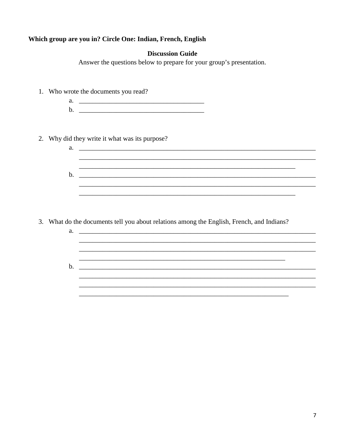## Which group are you in? Circle One: Indian, French, English

#### **Discussion Guide**

Answer the questions below to prepare for your group's presentation.

- 1. Who wrote the documents you read?
	-
- 2. Why did they write it what was its purpose?
	- $\mathbf{a.}$   $\qquad \qquad$
- 3. What do the documents tell you about relations among the English, French, and Indians?
	-